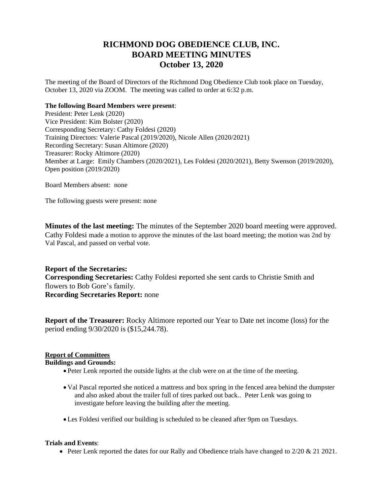# **RICHMOND DOG OBEDIENCE CLUB, INC. BOARD MEETING MINUTES October 13, 2020**

The meeting of the Board of Directors of the Richmond Dog Obedience Club took place on Tuesday, October 13, 2020 via ZOOM. The meeting was called to order at 6:32 p.m.

## **The following Board Members were present**:

President: Peter Lenk (2020) Vice President: Kim Bolster (2020) Corresponding Secretary: Cathy Foldesi (2020) Training Directors: Valerie Pascal (2019/2020), Nicole Allen (2020/2021) Recording Secretary: Susan Altimore (2020) Treasurer: Rocky Altimore (2020) Member at Large: Emily Chambers (2020/2021), Les Foldesi (2020/2021), Betty Swenson (2019/2020), Open position (2019/2020)

Board Members absent: none

The following guests were present: none

**Minutes of the last meeting:** The minutes of the September 2020 board meeting were approved. Cathy Foldesi made a motion to approve the minutes of the last board meeting; the motion was 2nd by Val Pascal, and passed on verbal vote.

**Report of the Secretaries: Corresponding Secretaries:** Cathy Foldesi **r**eported she sent cards to Christie Smith and flowers to Bob Gore's family. **Recording Secretaries Report:** none

**Report of the Treasurer:** Rocky Altimore reported our Year to Date net income (loss) for the period ending 9/30/2020 is (\$15,244.78).

# **Report of Committees**

# **Buildings and Grounds:**

- Peter Lenk reported the outside lights at the club were on at the time of the meeting.
- Val Pascal reported she noticed a mattress and box spring in the fenced area behind the dumpster and also asked about the trailer full of tires parked out back.. Peter Lenk was going to investigate before leaving the building after the meeting.
- Les Foldesi verified our building is scheduled to be cleaned after 9pm on Tuesdays.

# **Trials and Events**:

• Peter Lenk reported the dates for our Rally and Obedience trials have changed to  $2/20 \& 21 2021$ .